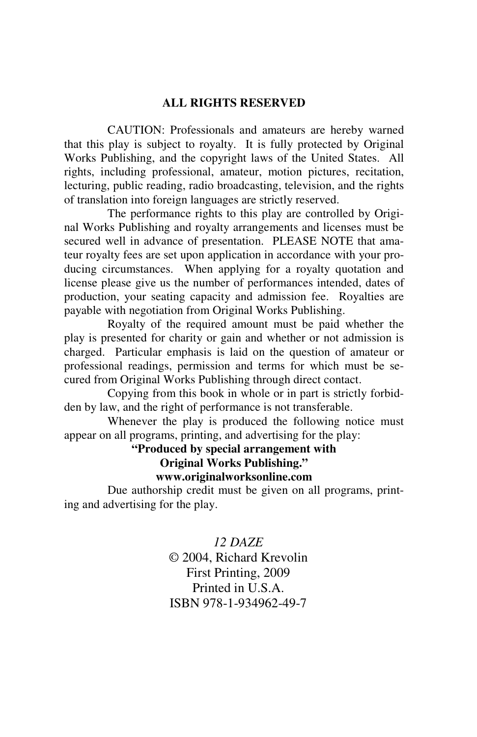### **ALL RIGHTS RESERVED**

 CAUTION: Professionals and amateurs are hereby warned that this play is subject to royalty. It is fully protected by Original Works Publishing, and the copyright laws of the United States. All rights, including professional, amateur, motion pictures, recitation, lecturing, public reading, radio broadcasting, television, and the rights of translation into foreign languages are strictly reserved.

 The performance rights to this play are controlled by Original Works Publishing and royalty arrangements and licenses must be secured well in advance of presentation. PLEASE NOTE that amateur royalty fees are set upon application in accordance with your producing circumstances. When applying for a royalty quotation and license please give us the number of performances intended, dates of production, your seating capacity and admission fee. Royalties are payable with negotiation from Original Works Publishing.

 Royalty of the required amount must be paid whether the play is presented for charity or gain and whether or not admission is charged. Particular emphasis is laid on the question of amateur or professional readings, permission and terms for which must be secured from Original Works Publishing through direct contact.

 Copying from this book in whole or in part is strictly forbidden by law, and the right of performance is not transferable.

 Whenever the play is produced the following notice must appear on all programs, printing, and advertising for the play:

**"Produced by special arrangement with** 

**Original Works Publishing."** 

**www.originalworksonline.com** 

 Due authorship credit must be given on all programs, printing and advertising for the play.

> *12 DAZE*  © 2004, Richard Krevolin First Printing, 2009 Printed in U.S.A. ISBN 978-1-934962-49-7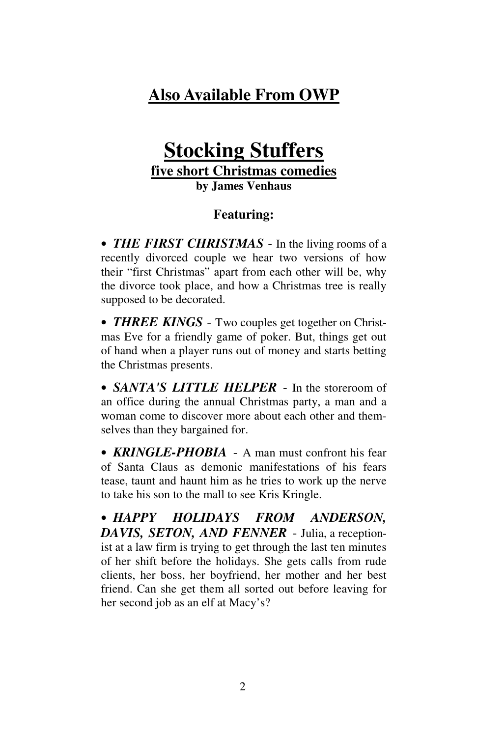# **Also Available From OWP**

# **Stocking Stuffers five short Christmas comedies by James Venhaus**

# **Featuring:**

• *THE FIRST CHRISTMAS* - In the living rooms of a recently divorced couple we hear two versions of how their "first Christmas" apart from each other will be, why the divorce took place, and how a Christmas tree is really supposed to be decorated.

• **THREE KINGS** - Two couples get together on Christmas Eve for a friendly game of poker. But, things get out of hand when a player runs out of money and starts betting the Christmas presents.

• *SANTA'S LITTLE HELPER* - In the storeroom of an office during the annual Christmas party, a man and a woman come to discover more about each other and themselves than they bargained for.

• **KRINGLE-PHOBIA** - A man must confront his fear of Santa Claus as demonic manifestations of his fears tease, taunt and haunt him as he tries to work up the nerve to take his son to the mall to see Kris Kringle.

• *HAPPY HOLIDAYS FROM ANDERSON, DAVIS, SETON, AND FENNER* - Julia, a receptionist at a law firm is trying to get through the last ten minutes of her shift before the holidays. She gets calls from rude clients, her boss, her boyfriend, her mother and her best friend. Can she get them all sorted out before leaving for her second job as an elf at Macy's?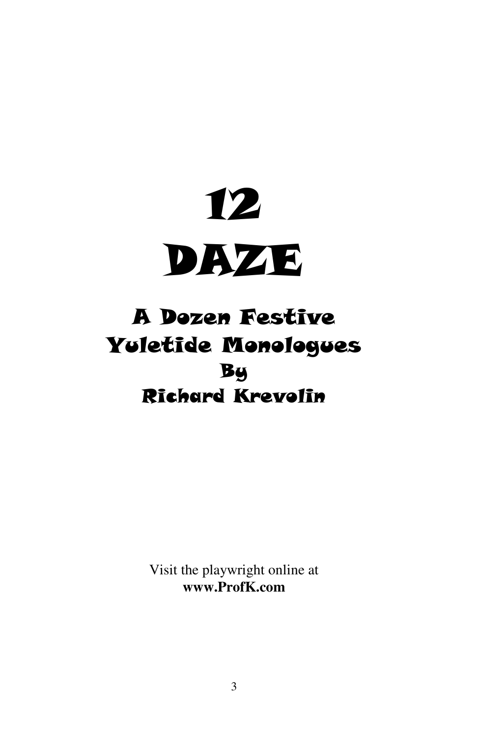

# A Dozen Festive Yuletide Monologues By Richard Krevolin

Visit the playwright online at **www.ProfK.com**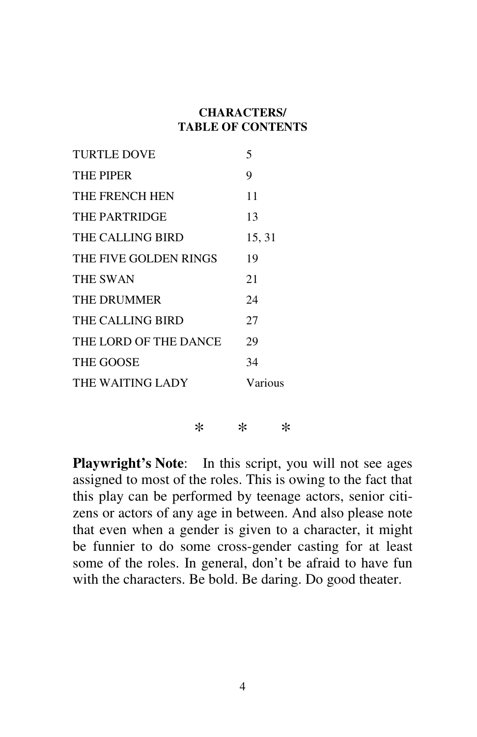# **CHARACTERS/ TABLE OF CONTENTS**

| <b>TURTLE DOVE</b>    | 5       |
|-----------------------|---------|
| <b>THE PIPER</b>      | 9       |
| THE FRENCH HEN        | 11      |
| THE PARTRIDGE         | 13      |
| THE CALLING BIRD      | 15, 31  |
| THE FIVE GOLDEN RINGS | 19      |
| <b>THE SWAN</b>       | 21      |
| THE DRUMMER           | 24      |
| THE CALLING BIRD      | 27      |
| THE LORD OF THE DANCE | 29      |
| <b>THE GOOSE</b>      | 34      |
| THE WAITING LADY      | Various |
|                       |         |

\* \* \*

**Playwright's Note**: In this script, you will not see ages assigned to most of the roles. This is owing to the fact that this play can be performed by teenage actors, senior citizens or actors of any age in between. And also please note that even when a gender is given to a character, it might be funnier to do some cross-gender casting for at least some of the roles. In general, don't be afraid to have fun with the characters. Be bold. Be daring. Do good theater.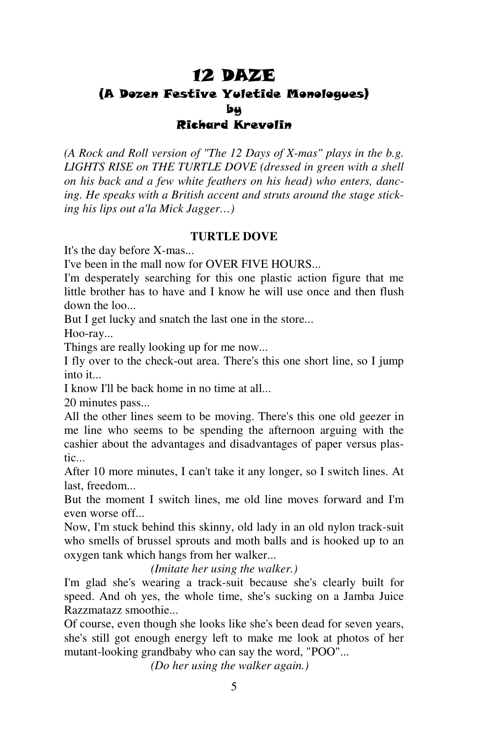# 12 DAZE (A Dozen Festive Yuletide Monologues) by Richard Krevolin

*(A Rock and Roll version of "The 12 Days of X-mas" plays in the b.g. LIGHTS RISE on THE TURTLE DOVE (dressed in green with a shell on his back and a few white feathers on his head) who enters, dancing. He speaks with a British accent and struts around the stage sticking his lips out a'la Mick Jagger…)* 

### **TURTLE DOVE**

It's the day before X-mas...

I've been in the mall now for OVER FIVE HOURS...

I'm desperately searching for this one plastic action figure that me little brother has to have and I know he will use once and then flush down the loo...

But I get lucky and snatch the last one in the store...

Hoo-ray...

Things are really looking up for me now...

I fly over to the check-out area. There's this one short line, so I jump into it...

I know I'll be back home in no time at all...

20 minutes pass...

All the other lines seem to be moving. There's this one old geezer in me line who seems to be spending the afternoon arguing with the cashier about the advantages and disadvantages of paper versus plastic...

After 10 more minutes, I can't take it any longer, so I switch lines. At last, freedom...

But the moment I switch lines, me old line moves forward and I'm even worse off...

Now, I'm stuck behind this skinny, old lady in an old nylon track-suit who smells of brussel sprouts and moth balls and is hooked up to an oxygen tank which hangs from her walker...

*(Imitate her using the walker.)*

I'm glad she's wearing a track-suit because she's clearly built for speed. And oh yes, the whole time, she's sucking on a Jamba Juice Razzmatazz smoothie...

Of course, even though she looks like she's been dead for seven years, she's still got enough energy left to make me look at photos of her mutant-looking grandbaby who can say the word, "POO"...

*(Do her using the walker again.)*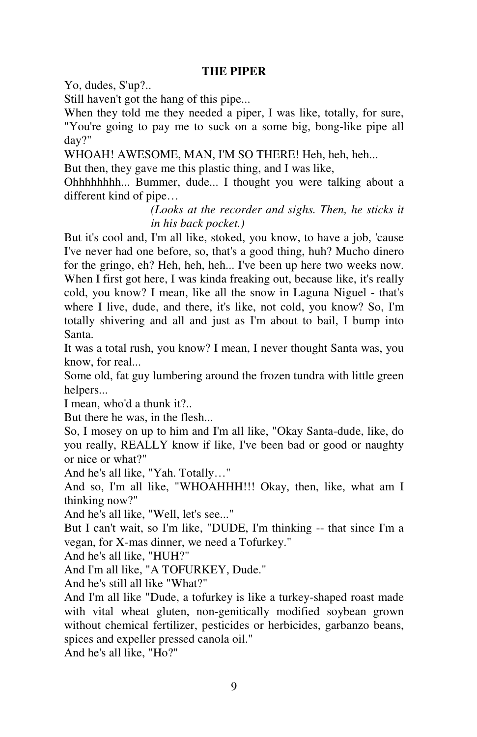## **THE PIPER**

Yo, dudes, S'up?..

Still haven't got the hang of this pipe...

When they told me they needed a piper, I was like, totally, for sure, "You're going to pay me to suck on a some big, bong-like pipe all day?"

WHOAH! AWESOME, MAN, I'M SO THERE! Heh, heh, heh...

But then, they gave me this plastic thing, and I was like,

Ohhhhhhhh... Bummer, dude... I thought you were talking about a different kind of pipe…

> *(Looks at the recorder and sighs. Then, he sticks it in his back pocket.)*

But it's cool and, I'm all like, stoked, you know, to have a job, 'cause I've never had one before, so, that's a good thing, huh? Mucho dinero for the gringo, eh? Heh, heh, heh... I've been up here two weeks now. When I first got here, I was kinda freaking out, because like, it's really cold, you know? I mean, like all the snow in Laguna Niguel - that's where I live, dude, and there, it's like, not cold, you know? So, I'm totally shivering and all and just as I'm about to bail, I bump into Santa.

It was a total rush, you know? I mean, I never thought Santa was, you know, for real...

Some old, fat guy lumbering around the frozen tundra with little green helpers...

I mean, who'd a thunk it?..

But there he was, in the flesh...

So, I mosey on up to him and I'm all like, "Okay Santa-dude, like, do you really, REALLY know if like, I've been bad or good or naughty or nice or what?"

And he's all like, "Yah. Totally…"

And so, I'm all like, "WHOAHHH!!! Okay, then, like, what am I thinking now?"

And he's all like, "Well, let's see..."

But I can't wait, so I'm like, "DUDE, I'm thinking -- that since I'm a vegan, for X-mas dinner, we need a Tofurkey."

And he's all like, "HUH?"

And I'm all like, "A TOFURKEY, Dude."

And he's still all like "What?"

And I'm all like "Dude, a tofurkey is like a turkey-shaped roast made with vital wheat gluten, non-genitically modified soybean grown without chemical fertilizer, pesticides or herbicides, garbanzo beans, spices and expeller pressed canola oil."

And he's all like, "Ho?"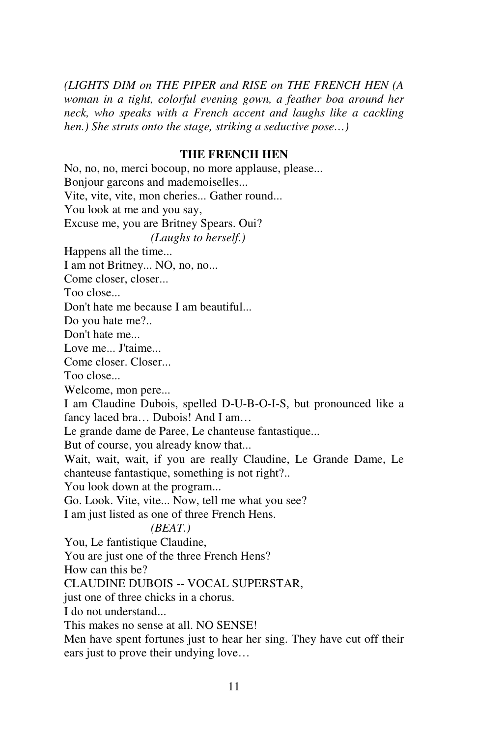*(LIGHTS DIM on THE PIPER and RISE on THE FRENCH HEN (A woman in a tight, colorful evening gown, a feather boa around her neck, who speaks with a French accent and laughs like a cackling hen.) She struts onto the stage, striking a seductive pose…)* 

### **THE FRENCH HEN**

No, no, no, merci bocoup, no more applause, please... Bonjour garcons and mademoiselles... Vite, vite, vite, mon cheries... Gather round... You look at me and you say, Excuse me, you are Britney Spears. Oui?  *(Laughs to herself.)* Happens all the time... I am not Britney... NO, no, no... Come closer, closer... Too close... Don't hate me because I am beautiful... Do you hate me?.. Don't hate me... Love me... J'taime... Come closer. Closer... Too close... Welcome, mon pere... I am Claudine Dubois, spelled D-U-B-O-I-S, but pronounced like a fancy laced bra… Dubois! And I am… Le grande dame de Paree, Le chanteuse fantastique... But of course, you already know that... Wait, wait, wait, if you are really Claudine, Le Grande Dame, Le chanteuse fantastique, something is not right?.. You look down at the program... Go. Look. Vite, vite... Now, tell me what you see? I am just listed as one of three French Hens.  *(BEAT.)* You, Le fantistique Claudine, You are just one of the three French Hens? How can this be? CLAUDINE DUBOIS -- VOCAL SUPERSTAR, just one of three chicks in a chorus. I do not understand... This makes no sense at all. NO SENSE!

Men have spent fortunes just to hear her sing. They have cut off their ears just to prove their undying love…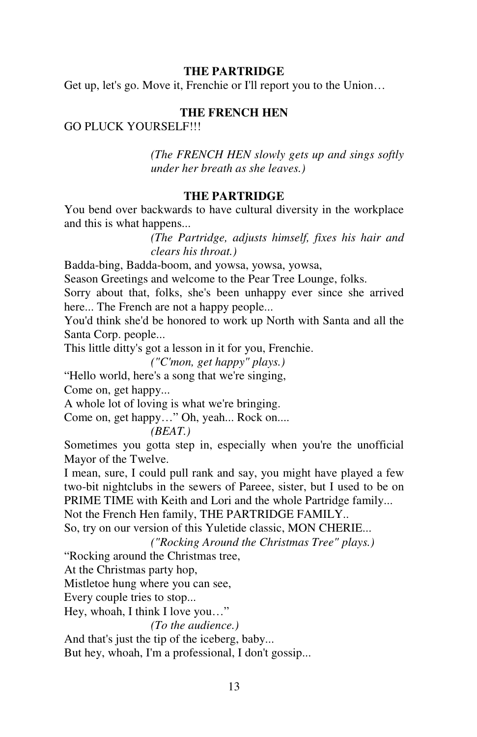# **THE PARTRIDGE**

Get up, let's go. Move it, Frenchie or I'll report you to the Union…

# **THE FRENCH HEN**

# GO PLUCK YOURSELF!!!

 *(The FRENCH HEN slowly gets up and sings softly under her breath as she leaves.)* 

## **THE PARTRIDGE**

You bend over backwards to have cultural diversity in the workplace and this is what happens...

> *(The Partridge, adjusts himself, fixes his hair and clears his throat.)*

Badda-bing, Badda-boom, and yowsa, yowsa, yowsa,

Season Greetings and welcome to the Pear Tree Lounge, folks.

Sorry about that, folks, she's been unhappy ever since she arrived here... The French are not a happy people...

You'd think she'd be honored to work up North with Santa and all the Santa Corp. people...

This little ditty's got a lesson in it for you, Frenchie.

 *("C'mon, get happy" plays.)*

"Hello world, here's a song that we're singing,

Come on, get happy...

A whole lot of loving is what we're bringing.

Come on, get happy…" Oh, yeah... Rock on....

# *(BEAT.)*

Sometimes you gotta step in, especially when you're the unofficial Mayor of the Twelve.

I mean, sure, I could pull rank and say, you might have played a few two-bit nightclubs in the sewers of Pareee, sister, but I used to be on PRIME TIME with Keith and Lori and the whole Partridge family...

Not the French Hen family, THE PARTRIDGE FAMILY..

So, try on our version of this Yuletide classic, MON CHERIE...

 *("Rocking Around the Christmas Tree" plays.)* 

"Rocking around the Christmas tree,

At the Christmas party hop,

Mistletoe hung where you can see,

Every couple tries to stop...

Hey, whoah, I think I love you…"

*(To the audience.)*

And that's just the tip of the iceberg, baby...

But hey, whoah, I'm a professional, I don't gossip...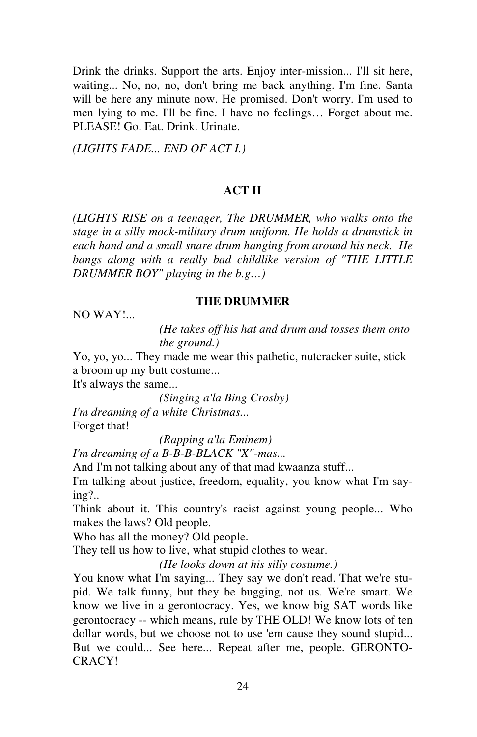Drink the drinks. Support the arts. Enjoy inter-mission... I'll sit here, waiting... No, no, no, don't bring me back anything. I'm fine. Santa will be here any minute now. He promised. Don't worry. I'm used to men lying to me. I'll be fine. I have no feelings… Forget about me. PLEASE! Go. Eat. Drink. Urinate.

*(LIGHTS FADE... END OF ACT I.)* 

# **ACT II**

*(LIGHTS RISE on a teenager, The DRUMMER, who walks onto the stage in a silly mock-military drum uniform. He holds a drumstick in each hand and a small snare drum hanging from around his neck. He bangs along with a really bad childlike version of "THE LITTLE DRUMMER BOY" playing in the b.g…)* 

**THE DRUMMER** 

NO WAY!...

 *(He takes off his hat and drum and tosses them onto the ground.)*

Yo, yo, yo... They made me wear this pathetic, nutcracker suite, stick a broom up my butt costume...

It's always the same...

 *(Singing a'la Bing Crosby) I'm dreaming of a white Christmas...*  Forget that!

*(Rapping a'la Eminem)*

*I'm dreaming of a B-B-B-BLACK "X"-mas...*

And I'm not talking about any of that mad kwaanza stuff...

I'm talking about justice, freedom, equality, you know what I'm saying?..

Think about it. This country's racist against young people... Who makes the laws? Old people.

Who has all the money? Old people.

They tell us how to live, what stupid clothes to wear.

 *(He looks down at his silly costume.)*

You know what I'm saying... They say we don't read. That we're stupid. We talk funny, but they be bugging, not us. We're smart. We know we live in a gerontocracy. Yes, we know big SAT words like gerontocracy -- which means, rule by THE OLD! We know lots of ten dollar words, but we choose not to use 'em cause they sound stupid... But we could... See here... Repeat after me, people. GERONTO-CRACY!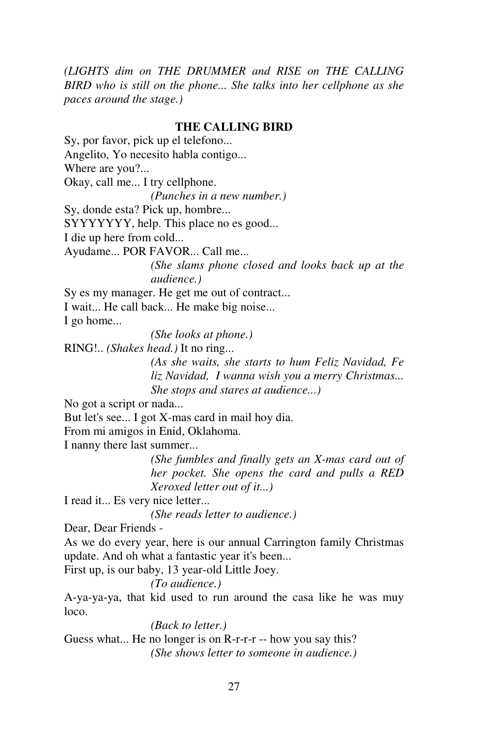*(LIGHTS dim on THE DRUMMER and RISE on THE CALLING BIRD who is still on the phone... She talks into her cellphone as she paces around the stage.)* 

#### **THE CALLING BIRD**

Sy, por favor, pick up el telefono... Angelito, Yo necesito habla contigo... Where are you?... Okay, call me... I try cellphone. *(Punches in a new number.)*  Sy, donde esta? Pick up, hombre... SYYYYYYY, help. This place no es good... I die up here from cold... Ayudame... POR FAVOR... Call me... *(She slams phone closed and looks back up at the audience.)*  Sy es my manager. He get me out of contract... I wait... He call back... He make big noise... I go home... *(She looks at phone.)*  RING!.. *(Shakes head.)* It no ring... *(As she waits, she starts to hum Feliz Navidad, Fe liz Navidad, I wanna wish you a merry Christmas... She stops and stares at audience...)* No got a script or nada... But let's see... I got X-mas card in mail hoy dia. From mi amigos in Enid, Oklahoma. I nanny there last summer...  *(She fumbles and finally gets an X-mas card out of her pocket. She opens the card and pulls a RED Xeroxed letter out of it...)*  I read it... Es very nice letter... *(She reads letter to audience.)*  Dear, Dear Friends - As we do every year, here is our annual Carrington family Christmas update. And oh what a fantastic year it's been... First up, is our baby, 13 year-old Little Joey.  *(To audience.)* A-ya-ya-ya, that kid used to run around the casa like he was muy loco.  *(Back to letter.)* Guess what... He no longer is on R-r-r-r -- how you say this?

*(She shows letter to someone in audience.)*